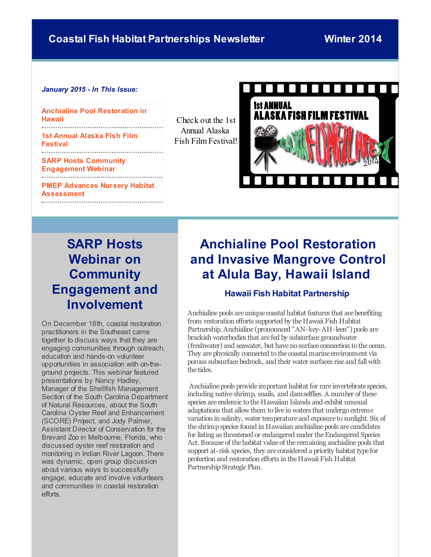#### <span id="page-0-0"></span>*January 2015 - In This Issue:*

**Anchialine Pool [Restoration](#page-0-0) in Hawaii**

**1st Annual Alaska Fish Film [Festival](#page-0-0)**

**SARP Hosts Community [Engagement](#page-0-0) Webinar PMEP Advances Nursery Habitat [Assessment](#page-0-0)**

Check out the 1st Annual Alaska Fish Film Festival!



# **SARP Hosts Webinar on Community Engagement and Involvement**

On December 18th, coastal restoration practitioners in the Southeast came together to discuss ways that they are engaging communities through outreach, education and hands-on volunteer opportunities in association with on-theground projects. This webinar featured presentations by Nancy Hadley, Manager of the Shellfish Management Section of the South Carolina Department of Natural Resources, about the South Carolina Oyster Reef and Enhancement (SCORE) Project, and Jody Palmer, Assistant Director of Conservation for the Brevard Zoo in Melbourne, Florida, who discussed oyster reef restoration and monitoring in Indian River Lagoon. There was dynamic, open group discussion about various ways to successfully engage, educate and involve volunteers and communities in coastal restoration efforts.

# **Anchialine Pool Restoration and Invasive Mangrove Control at Alula Bay, Hawaii Island**

### **Hawaii Fish Habitat Partnership**

Anchialine pools are unique coastal habitat features that are benefiting from restoration efforts supported by the Hawaii Fish Habitat Partnership. Anchialine (pronounced "AN-key-AH-leen") pools are brackish waterbodies that are fed by subsurface groundwater (freshwater) and seawater, but haveno surface connection to the ocean. They are physically connected to the coastal marine environment via porous subsurface bedrock, and their water surfaces rise and fall with the tides.

Anchialine pools provide important habitat for rare invertebrate species, including native shrimp, snails, and damselflies. A number of these species are endemic to the Hawaiian Islands and exhibit unusual adaptations that allow them to live in waters that undergo extreme variation in salinity, water temperature and exposure to sunlight. Six of the shrimp species found in Hawaiian anchialine pools are candidates for listing as threatened or endangered under the Endangered Species Act. Because of the habitat value of the remaining anchialine pools that support at-risk species, they are considered a priority habitat type for protection and restoration efforts in the Hawaii Fish Habitat Partnership Strategic Plan.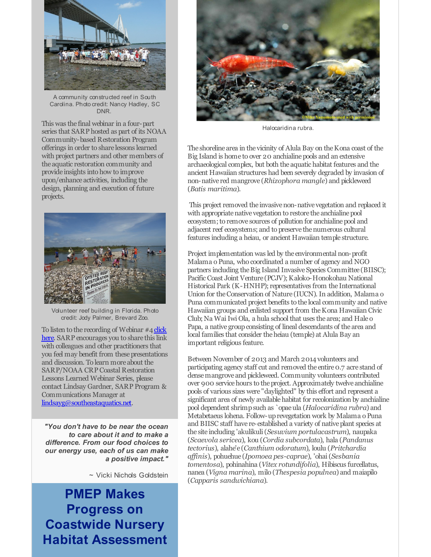

A community constructed reef in South Carolina. Photo credit: Nancy Hadley, SC DNR.

This was the final webinar in a four-part series that SARP hosted as part of its NOAA Community-based Restoration Program offerings in order to share lessons learned with project partners and other members of the aquatic restoration community and provide insights into how to improve upon/enhance activities, including the design, planning and execution of future projects.



Volunteer reef building in Florida. Photo credit: Jody Palmer, Brevard Zoo.

To listen to the recording of Webinar #4 click here. SARP [encourages](http://r20.rs6.net/tn.jsp?f=001zshJNdIOFHYhijik0B2ixXB3BIy6BUpvAGX8ERBF4pHpxMrKnZy12d-iDvLJl6OYN3g7hWs6Pc87pAuHTUFvPZM-qNknSqi2yy9zBwEXwF9pCgojsTv0kin-iTkySdzYwgi-JCbUiYVn88gKkbG-66uoTN550waiTiYK_vJffEdqsCjKl5WG1erXxXUhhYnxXINuYOYgXVdEWwb5NqB8Wv3UE3IOqWwOwDVc09p3gguppo5IUfHUKnJ264TP0whDYmZ4pN3CZyh83EuS0WF40TkXAqshrKa99uVWy3CPk0s=&c=&ch=) you to share this link with colleagues and other practitioners that you feel may benefit from these presentations and discussion. To learn more about the SARP/NOAA CRP Coastal Restoration Lessons Learned Webinar Series, please contact Lindsay Gardner, SARP Program & Communications Manager at [lindsayg@southeastaquatics.net](mailto:lindsayg@southeastaquatics.net).

*"You don't have to be near the ocean to care about it and to make a difference. From our food choices to our energy use, each of us can make a positive impact."*

~ Vicki Nichols Goldstein

**PMEP Makes Progress on Coastwide Nursery Habitat Assessment**



Halocaridina rubra.

The shoreline area in the vicinity of Alula Bay on the Kona coast of the Big Island is home to over 20 anchialinepools and an extensive archaeological complex, but both the aquatic habitat features and the ancient Hawaiian structures had been severely degraded by invasion of non-native red mangrove (*Rhizophora mangle*) and pickleweed (*Batis maritima*).

This project removed the invasivenon-native vegetation and replaced it with appropriate native vegetation to restore the anchialine pool ecosystem; to remove sources of pollution for anchialine pool and adjacent reef ecosystems; and to preserve the numerous cultural features including a heiau, or ancient Hawaiian temple structure.

Project implementation was led by the environmental non-profit Malama o Puna, who coordinated a number of agency and NGO partners including the Big Island Invasive Species Committee (BIISC); Pacific Coast Joint Venture (PCJV); Kaloko-Honokohau National Historical Park (K-HNHP); representatives from the International Union for theConservation of Nature (IUCN). In addition, Malama o Puna communicated project benefits to the local community and native Hawaiian groups and enlisted support from theKona Hawaiian Civic Club; Na Wai Iwi Ola, a hula school that uses the area; and Hale o Papa, a native group consisting of lineal descendants of the area and local families that consider theheiau (temple) at Alula Bay an important religious feature.

Between November of 2013 and March 2014 volunteers and participating agency staff cut and removed the entire 0.7 acre stand of densemangrove and pickleweed. Community volunteers contributed over 900 service hours to the project. Approximately twelve anchialine pools of various sizes were "daylighted" by this effort and represent a significant area of newly available habitat for recolonization by anchialine pool dependent shrimpsuch as `opaeula (*Halocaridina rubra*) and Metabetaeus lohena. Follow-uprevegetation work by Malama o Puna and BIISC staff have re-established a variety of native plant species at the site including 'akulikuli(*Sesuvium portulacastrum*), naupaka (*Scaevola sericea*), kou (*Cordia subcordata*), hala (*Pandanus tectorius*), alahe'e (*Canthium odoratum*), loulu (*Pritchardia af inis*), pohuehue (*Ipomoea pes-caprae*), 'ohai(*Sesbania tomentosa*), pohinahina (*Vitex rotundifolia*), Hibiscus furcellatus, nanea (*Vigna marina*), milo (*Thespesia populnea*) and maiapilo (*Capparis sandwichiana*).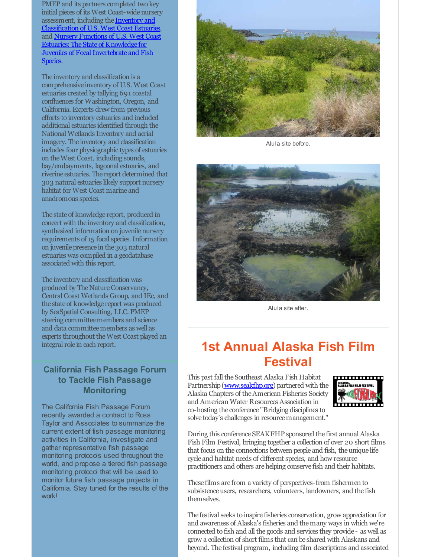PMEP and its partners completed two key initial pieces of its West Coast-wide nursery assessment, including the Inventory and [Classification](http://r20.rs6.net/tn.jsp?f=001zshJNdIOFHYhijik0B2ixXB3BIy6BUpvAGX8ERBF4pHpxMrKnZy12d-iDvLJl6OYWvJXxPuHlX3iViZaevcE0aOMXi4rTYIaPQiqJiCTOAnIO7BajichvRc9Oag8lKgsdJTIuvpLHjxYm6EOa7XcmfhjCbRGkBJ1cl56JK7Hdcqkq3vQYaYs-t8LAgzZXL0oGA-nLzttSdVa1BXzYc_EaG-JIo8kmW8f_dNOflKQHYDy5P6tZ7Ho0QfIo5x675zA&c=&ch=) of U.S. West Coast Estuaries, and Nursery Functions of U.S. West Coast [Estuaries:TheState](http://r20.rs6.net/tn.jsp?f=001zshJNdIOFHYhijik0B2ixXB3BIy6BUpvAGX8ERBF4pHpxMrKnZy12d-iDvLJl6OYj-n57TX9ruymNcwBB0Yyuy8tsWkpDwNhkhj_BO_2sDaM3d944Yxtm7gW7HiZtq40YVt0p_oMTVkBFX11wcMIOX6q5D_BhD0g8Y5Y7jeZa6pSR_7Ru8aG1scW3gLpODMVEVDPnHgV83lVso46cGSJwFpjBKDsnGkPtgA7fUgwTRYfkwvcOQyw4zK-vRskPChx&c=&ch=) of Knowledge for Juveniles of Focal Invertebrate and Fish Species.

The inventory and classification is a comprehensive inventory of U.S. West Coast estuaries created by tallying 691 coastal confluences for Washington, Oregon, and California. Experts drew from previous efforts to inventory estuaries and included additional estuaries identified through the National Wetlands Inventory and aerial imagery. The inventory and classification includes four physiographic types of estuaries on theWest Coast, including sounds, bay/embayments, lagoonal estuaries, and riverine estuaries. The report determined that 303 natural estuaries likely support nursery habitat for West Coast marine and anadromous species.

The state of knowledge report, produced in concert with the inventory and classification, synthesized information on juvenile nursery requirements of 15 focal species. Information on juvenile presence in the 303 natural estuaries was compiled in a geodatabase associated with this report.

The inventory and classification was produced by The Nature Conservancy, Central Coast Wetlands Group, and IEc, and the state of knowledge report was produced by SeaSpatial Consulting, LLC. PMEP steering committee members and science and data committeemembers as well as experts throughout theWest Coast played an integral role in each report.

### **California Fish Passage Forum to Tackle Fish Passage Monitoring**

The California Fish Passage Forum recently awarded a contract to Ross Taylor and Associates to summarize the current extent of fish passage monitoring activities in California, investigate and gather representative fish passage monitoring protocols used throughout the world, and propose a tiered fish passage monitoring protocol that will be used to monitor future fish passage projects in California. Stay tuned for the results of the work!



Alula site before.



Alula site after.

## **1st Annual Alaska Fish Film Festival**

This past fall the Southeast Alaska Fish Habitat Partnership([www.seakfhp.org\)](http://r20.rs6.net/tn.jsp?f=001zshJNdIOFHYhijik0B2ixXB3BIy6BUpvAGX8ERBF4pHpxMrKnZy12QjfR-Nikg96rFyYEi4H4Yw1xigIJIVswLGisfDO6ByChqTrLxWsxSgWuWPw3xpwVEWIxWYc0lj7CYYzJ-XmEBe_DtriZ6hQlvYz0ldpX7SD9MCY762Sqgg=&c=&ch=) partnered with the Alaska Chapters of theAmerican Fisheries Society and American Water Resources Association in co-hosting the conference "Bridging disciplines to solve today's challenges in resource management."



During this conference SEAKFHP sponsored the first annual Alaska Fish Film Festival, bringing together a collection of over 20 short films that focus on the connections between people and fish, the unique life cycle and habitat needs of different species, and how resource practitioners and others arehelping conserve fish and their habitats.

These films are from a variety of perspectives-from fishermen to subsistence users, researchers, volunteers, landowners, and the fish themselves.

The festival seeks to inspire fisheries conservation, grow appreciation for and awareness of Alaska's fisheries and themany ways in which we're connected to fish and all the goods and services they provide - as well as grow a collection of short films that can be shared with Alaskans and beyond. The festival program, including film descriptions and associated